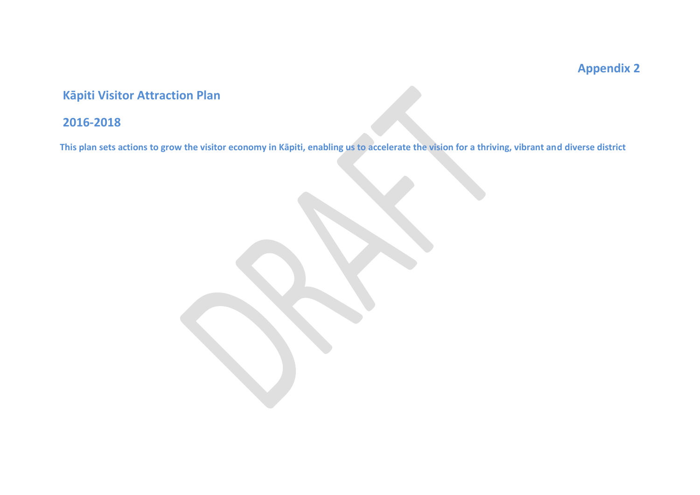# **Appendix 2**

## **Kāpiti Visitor Attraction Plan**

## **2016-2018**

**This plan sets actions to grow the visitor economy in Kāpiti, enabling us to accelerate the vision for a thriving, vibrant and diverse district**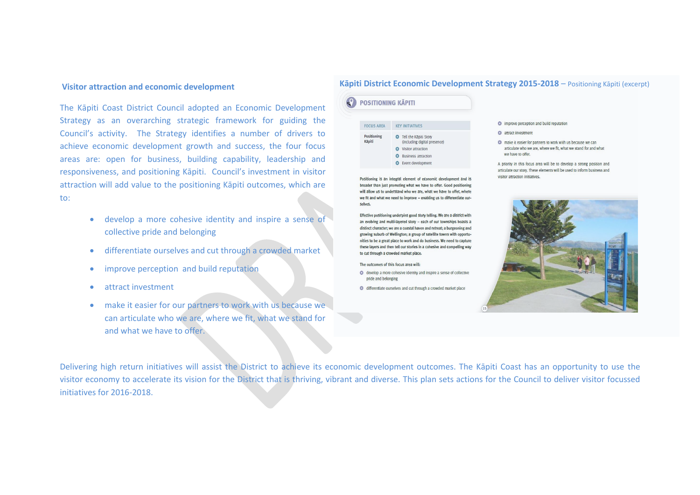The Kāpiti Coast District Council adopted an Economic Development Strategy as an overarching strategic framework for guiding the Council's activity. The Strategy identifies a number of drivers to achieve economic development growth and success, the four focus areas are: open for business, building capability, leadership and responsiveness, and positioning Kāpiti. Council's investment in visitor attraction will add value to the positioning Kāpiti outcomes, which are to:

- develop a more cohesive identity and inspire a sense of collective pride and belonging
- differentiate ourselves and cut through a crowded market
- **•** improve perception and build reputation
- attract investment
- make it easier for our partners to work with us because we can articulate who we are, where we fit, what we stand for and what we have to offer.

### **Kāpiti District Economic Development Strategy 2015-2018** – Positioning Kāpiti (excerpt) **Visitor attraction and economic development**

| <b>FOCUS AREA</b>            | <b>KEY INITIATIVES</b>                                         |
|------------------------------|----------------------------------------------------------------|
| <b>Positioning</b><br>Kāpiti | <b>O</b> Tell the Käpiti Story<br>(including digital presence) |
|                              | <b>Visitor attraction</b>                                      |
|                              | <b>Business attraction</b><br>г.                               |
|                              | Event development                                              |

Positioning is an integral element of economic development and is broader than just promoting what we have to offer. Good positioning will allow us to understand who we are, what we have to offer, where we fit and what we need to improve - enabling us to differentiate ourselves.

Effective positioning underpins good story telling. We are a district with an evolving and multi-layered story - each of our townships boasts a distinct character; we are a coastal haven and retreat; a burgeoning and growing suburb of Wellington; a group of satellite towns with opportunities to be a great place to work and do business. We need to capture these layers and then tell our stories in a cohesive and compelling way to cut through a crowded market place.

The outcomes of this focus area will:

- **O** develop a more cohesive identity and inspire a sense of collective pride and belonging
- c differentiate ourselves and cut through a crowded market place

#### • improve perception and build reputation

- **O** attract investment
- O make it easier for partners to work with us because we can articulate who we are, where we fit, what we stand for and what we have to offer.

A priority in this focus area will be to develop a strong position and articulate our story. These elements will be used to inform business and visitor attraction initiatives.



Delivering high return initiatives will assist the District to achieve its economic development outcomes. The Kāpiti Coast has an opportunity to use the visitor economy to accelerate its vision for the District that is thriving, vibrant and diverse. This plan sets actions for the Council to deliver visitor focussed initiatives for 2016-2018.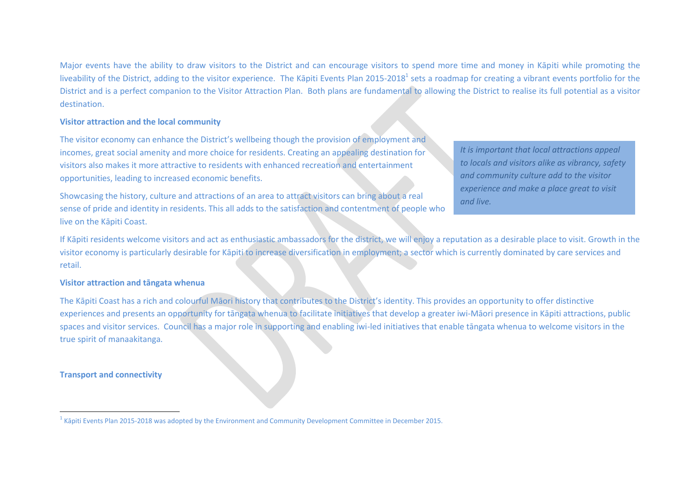Major events have the ability to draw visitors to the District and can encourage visitors to spend more time and money in Kāpiti while promoting the liveability of the District, adding to the visitor experience. The Kāpiti Events Plan 2015-2018<sup>1</sup> sets a roadmap for creating a vibrant events portfolio for the District and is a perfect companion to the Visitor Attraction Plan. Both plans are fundamental to allowing the District to realise its full potential as a visitor destination.

#### **Visitor attraction and the local community**

The visitor economy can enhance the District's wellbeing though the provision of employment and incomes, great social amenity and more choice for residents. Creating an appealing destination for visitors also makes it more attractive to residents with enhanced recreation and entertainment opportunities, leading to increased economic benefits.

Showcasing the history, culture and attractions of an area to attract visitors can bring about a real sense of pride and identity in residents. This all adds to the satisfaction and contentment of people who live on the Kāpiti Coast.

*It is important that local attractions appeal to locals and visitors alike as vibrancy, safety and community culture add to the visitor experience and make a place great to visit and live.*

If Kāpiti residents welcome visitors and act as enthusiastic ambassadors for the district, we will enjoy a reputation as a desirable place to visit. Growth in the visitor economy is particularly desirable for Kāpiti to increase diversification in employment; a sector which is currently dominated by care services and retail.

#### **Visitor attraction and tāngata whenua**

The Kāpiti Coast has a rich and colourful Māori history that contributes to the District's identity. This provides an opportunity to offer distinctive experiences and presents an opportunity for tāngata whenua to facilitate initiatives that develop a greater iwi-Māori presence in Kāpiti attractions, public spaces and visitor services. Council has a major role in supporting and enabling iwi-led initiatives that enable tāngata whenua to welcome visitors in the true spirit of manaakitanga.

#### **Transport and connectivity**

 $\overline{a}$ 

 $^1$  Kāpiti Events Plan 2015-2018 was adopted by the Environment and Community Development Committee in December 2015.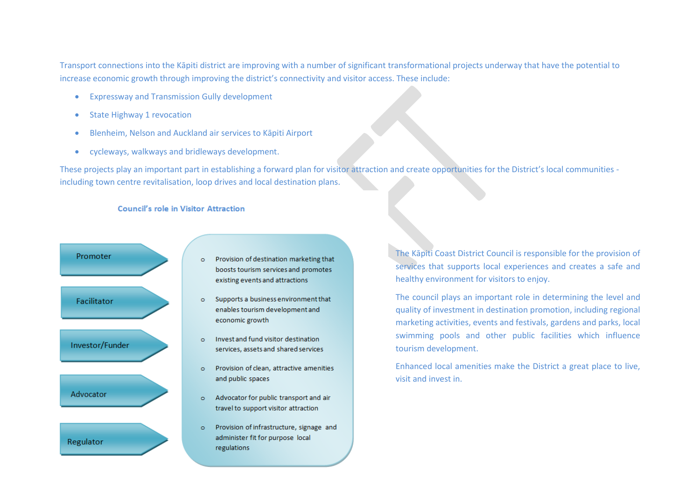Transport connections into the Kāpiti district are improving with a number of significant transformational projects underway that have the potential to increase economic growth through improving the district's connectivity and visitor access. These include:

- Expressway and Transmission Gully development
- State Highway 1 revocation
- Blenheim, Nelson and Auckland air services to Kāpiti Airport
- cycleways, walkways and bridleways development.

These projects play an important part in establishing a forward plan for visitor attraction and create opportunities for the District's local communities including town centre revitalisation, loop drives and local destination plans.

#### **Council's role in Visitor Attraction**



- Provision of destination marketing that  $\circ$ boosts tourism services and promotes existing events and attractions
- Supports a business environment that  $\circ$ enables tourism development and economic growth
- Invest and fund visitor destination  $\circ$ services, assets and shared services
- Provision of clean, attractive amenities  $\circ$ and public spaces
- $\circ$ Advocator for public transport and air travel to support visitor attraction
- Provision of infrastructure, signage and  $\circ$ administer fit for purpose local regulations

The Kāpiti Coast District Council is responsible for the provision of services that supports local experiences and creates a safe and healthy environment for visitors to enjoy.

The council plays an important role in determining the level and quality of investment in destination promotion, including regional marketing activities, events and festivals, gardens and parks, local swimming pools and other public facilities which influence tourism development.

Enhanced local amenities make the District a great place to live, visit and invest in.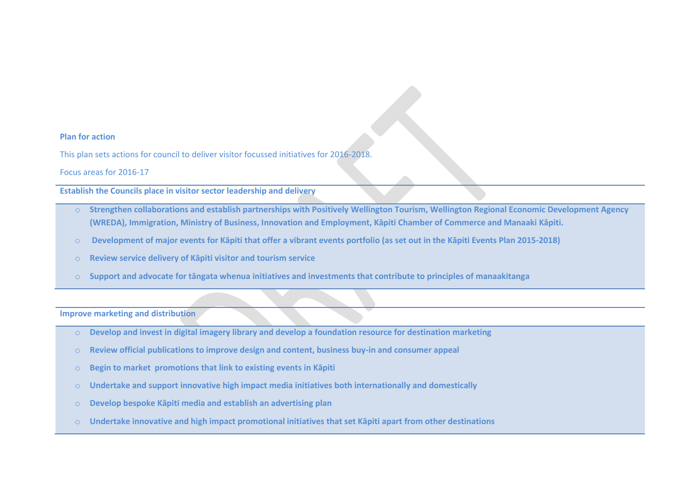#### **Plan for action**

This plan sets actions for council to deliver visitor focussed initiatives for 2016-2018.

Focus areas for 2016-17

**Establish the Councils place in visitor sector leadership and delivery** 

- o **Strengthen collaborations and establish partnerships with Positively Wellington Tourism, Wellington Regional Economic Development Agency (WREDA), Immigration, Ministry of Business, Innovation and Employment, Kāpiti Chamber of Commerce and Manaaki Kāpiti.**
- o **Development of major events for Kāpiti that offer a vibrant events portfolio (as set out in the Kāpiti Events Plan 2015-2018)**
- o **Review service delivery of Kāpiti visitor and tourism service**
- o **Support and advocate for tāngata whenua initiatives and investments that contribute to principles of manaakitanga**

**Improve marketing and distribution**

- o **Develop and invest in digital imagery library and develop a foundation resource for destination marketing**
- o **Review official publications to improve design and content, business buy-in and consumer appeal**
- o **Begin to market promotions that link to existing events in Kāpiti**
- o **Undertake and support innovative high impact media initiatives both internationally and domestically**
- o **Develop bespoke Kāpiti media and establish an advertising plan**
- o **Undertake innovative and high impact promotional initiatives that set Kāpiti apart from other destinations**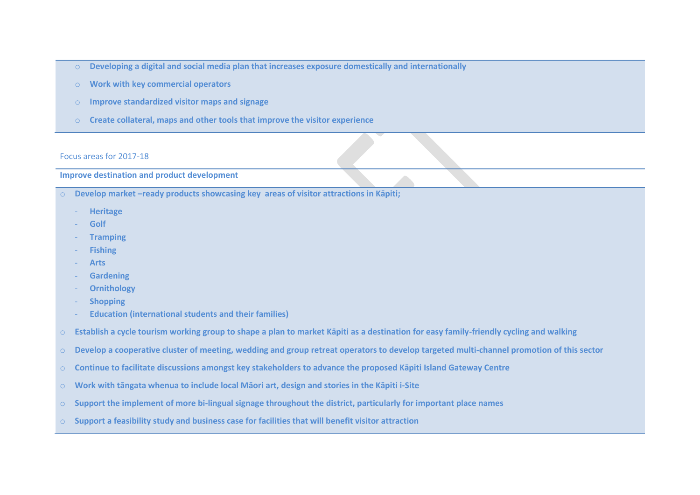- o **Developing a digital and social media plan that increases exposure domestically and internationally**
- o **Work with key commercial operators**
- o **Improve standardized visitor maps and signage**
- o **Create collateral, maps and other tools that improve the visitor experience**

#### Focus areas for 2017-18

## **Improve destination and product development**

- o **Develop market –ready products showcasing key areas of visitor attractions in Kāpiti;**
	- **Heritage**
	- **Golf**
	- **Tramping**
	- **Fishing**
	- **Arts**
	- **Gardening**
	- **Ornithology**
	- **Shopping**
	- **Education (international students and their families)**
- o **Establish a cycle tourism working group to shape a plan to market Kāpiti as a destination for easy family-friendly cycling and walking**
- o **Develop a cooperative cluster of meeting, wedding and group retreat operators to develop targeted multi-channel promotion of this sector**
- o **Continue to facilitate discussions amongst key stakeholders to advance the proposed Kāpiti Island Gateway Centre**
- o **Work with tāngata whenua to include local Māori art, design and stories in the Kāpiti i-Site**
- o **Support the implement of more bi-lingual signage throughout the district, particularly for important place names**
- o **Support a feasibility study and business case for facilities that will benefit visitor attraction**